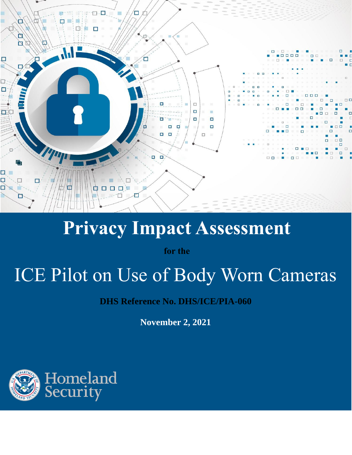

## **Privacy Impact Assessment**

**for the**

# ICE Pilot on Use of Body Worn Cameras

**DHS Reference No. DHS/ICE/PIA-060**

**November 2, 2021**

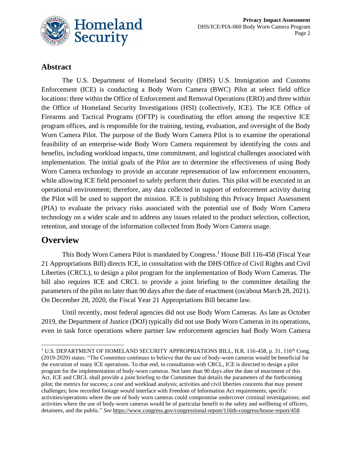

#### **Abstract**

The U.S. Department of Homeland Security (DHS) U.S. Immigration and Customs Enforcement (ICE) is conducting a Body Worn Camera (BWC) Pilot at select field office locations: three within the Office of Enforcement and Removal Operations (ERO) and three within the Office of Homeland Security Investigations (HSI) (collectively, ICE). The ICE Office of Firearms and Tactical Programs (OFTP) is coordinating the effort among the respective ICE program offices, and is responsible for the training, testing, evaluation, and oversight of the Body Worn Camera Pilot. The purpose of the Body Worn Camera Pilot is to examine the operational feasibility of an enterprise-wide Body Worn Camera requirement by identifying the costs and benefits, including workload impacts, time commitment, and logistical challenges associated with implementation. The initial goals of the Pilot are to determine the effectiveness of using Body Worn Camera technology to provide an accurate representation of law enforcement encounters, while allowing ICE field personnel to safely perform their duties. This pilot will be executed in an operational environment; therefore, any data collected in support of enforcement activity during the Pilot will be used to support the mission. ICE is publishing this Privacy Impact Assessment (PIA) to evaluate the privacy risks associated with the potential use of Body Worn Camera technology on a wider scale and to address any issues related to the product selection, collection, retention, and storage of the information collected from Body Worn Camera usage.

### **Overview**

This Body Worn Camera Pilot is mandated by Congress.<sup>1</sup> House Bill 116-458 (Fiscal Year 21 Appropriations Bill) directs ICE, in consultation with the DHS Office of Civil Rights and Civil Liberties (CRCL), to design a pilot program for the implementation of Body Worn Cameras. The bill also requires ICE and CRCL to provide a joint briefing to the committee detailing the parameters of the pilot no later than 90 days after the date of enactment (on/about March 28, 2021). On December 28, 2020, the Fiscal Year 21 Appropriations Bill became law.

Until recently, most federal agencies did not use Body Worn Cameras. As late as October 2019, the Department of Justice (DOJ) typically did not use Body Worn Cameras in its operations, even in task force operations where partner law enforcement agencies had Body Worn Camera

<sup>&</sup>lt;sup>1</sup> U.S. DEPARTMENT OF HOMELAND SECURITY APPROPRIATIONS BILL, H.R. 116-458, p. 31, 116<sup>th</sup> Cong. (2019-2020) states: "The Committee continues to believe that the use of body-worn cameras would be beneficial for the execution of many ICE operations. To that end, in consultation with CRCL, ICE is directed to design a pilot program for the implementation of body-worn cameras. Not later than 90 days after the date of enactment of this Act, ICE and CRCL shall provide a joint briefing to the Committee that details the parameters of the forthcoming pilot; the metrics for success; a cost and workload analysis; activities and civil liberties concerns that may present challenges; how recorded footage would interface with Freedom of Information Act requirements; specific activities/operations where the use of body worn cameras could compromise undercover criminal investigations; and activities where the use of body-worn cameras would be of particular benefit to the safety and wellbeing of officers, detainees, and the public." *See* [https://www.congress.gov/congressional-report/116th-congress/house-report/458.](https://www.congress.gov/congressional-report/116th-congress/house-report/458)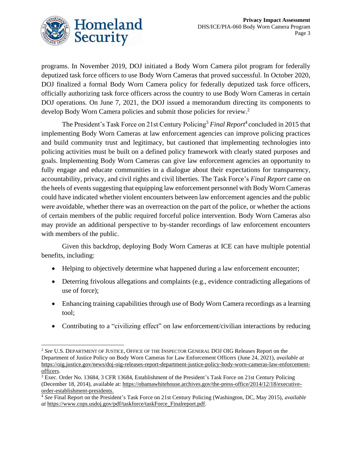

programs. In November 2019, DOJ initiated a Body Worn Camera pilot program for federally deputized task force officers to use Body Worn Cameras that proved successful. In October 2020, DOJ finalized a formal Body Worn Camera policy for federally deputized task force officers, officially authorizing task force officers across the country to use Body Worn Cameras in certain DOJ operations. On June 7, 2021, the DOJ issued a memorandum directing its components to develop Body Worn Camera policies and submit those policies for review.<sup>2</sup>

The [President's Task Force on 21st Century Policing](https://obamawhitehouse.archives.gov/the-press-office/2014/12/18/executive-order-establishment-presidents-%20task-force-21st-century-policin)<sup>3</sup> [Final Report](http://www.americanbarfoundation.org/uploads/cms/documents/executive_summary_policing_task_force.pdf#:~:text=Final%20Report%20of%20the%20President%27s%20Task%20Force%20on,the%20safe%20and%20effective%20delivery%20of%20policing%20services.)<sup>4</sup> concluded in 2015 that implementing Body Worn Cameras at law enforcement agencies can improve policing practices and build community trust and legitimacy, but cautioned that implementing technologies into policing activities must be built on a defined policy framework with clearly stated purposes and goals. Implementing Body Worn Cameras can give law enforcement agencies an opportunity to fully engage and educate communities in a dialogue about their expectations for transparency, accountability, privacy, and civil rights and civil liberties. The Task Force's *Final Report* came on the heels of events suggesting that equipping law enforcement personnel with Body Worn Cameras could have indicated whether violent encounters between law enforcement agencies and the public were avoidable, whether there was an overreaction on the part of the police, or whether the actions of certain members of the public required forceful police intervention. Body Worn Cameras also may provide an additional perspective to by-stander recordings of law enforcement encounters with members of the public.

Given this backdrop, deploying Body Worn Cameras at ICE can have multiple potential benefits, including:

- Helping to objectively determine what happened during a law enforcement encounter;
- Deterring frivolous allegations and complaints (e.g., evidence contradicting allegations of use of force);
- Enhancing training capabilities through use of Body Worn Camera recordings as a learning tool;
- Contributing to a "civilizing effect" on law enforcement/civilian interactions by reducing

<sup>2</sup> *See* U.S. DEPARTMENT OF JUSTICE, OFFICE OF THE INSPECTOR GENERAL DOJ OIG Releases Report on the Department of Justice Policy on Body Worn Cameras for Law Enforcement Officers (June 24, 2021), *available at* [https://oig.justice.gov/news/doj-oig-releases-report-department-justice-policy-body-worn-cameras-law-enforcement](https://oig.justice.gov/news/doj-oig-releases-report-department-justice-policy-body-worn-cameras-law-enforcement-officers)[officers.](https://oig.justice.gov/news/doj-oig-releases-report-department-justice-policy-body-worn-cameras-law-enforcement-officers)

<sup>3</sup> Exec. Order No. 13684, 3 CFR 13684, Establishment of the President's Task Force on 21st Century Policing (December 18, 2014), available at: [https://obamawhitehouse.archives.gov/the-press-office/2014/12/18/executive](https://obamawhitehouse.archives.gov/the-press-office/2014/12/18/executive-order-establishment-presidents.-)[order-establishment-presidents.](https://obamawhitehouse.archives.gov/the-press-office/2014/12/18/executive-order-establishment-presidents.-)

<sup>4</sup> *See* Final Report on the President's Task Force on 21st Century Policing (Washington, DC, May 2015), *available at* [https://www.cops.usdoj.gov/pdf/taskforce/taskForce\\_Finalreport.pdf.](https://www.cops.usdoj.gov/pdf/taskforce/taskForce_Finalreport.pdf)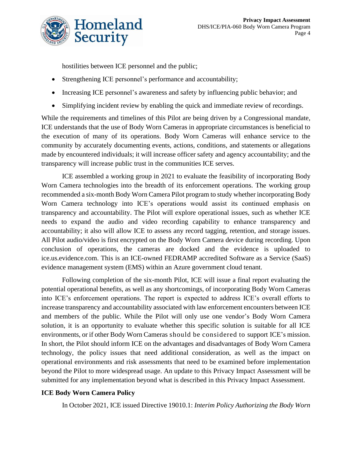

hostilities between ICE personnel and the public;

- Strengthening ICE personnel's performance and accountability;
- Increasing ICE personnel's awareness and safety by influencing public behavior; and
- Simplifying incident review by enabling the quick and immediate review of recordings.

While the requirements and timelines of this Pilot are being driven by a Congressional mandate, ICE understands that the use of Body Worn Cameras in appropriate circumstances is beneficial to the execution of many of its operations. Body Worn Cameras will enhance service to the community by accurately documenting events, actions, conditions, and statements or allegations made by encountered individuals; it will increase officer safety and agency accountability; and the transparency will increase public trust in the communities ICE serves.

ICE assembled a working group in 2021 to evaluate the feasibility of incorporating Body Worn Camera technologies into the breadth of its enforcement operations. The working group recommended a six-month Body Worn Camera Pilot program to study whether incorporating Body Worn Camera technology into ICE's operations would assist its continued emphasis on transparency and accountability. The Pilot will explore operational issues, such as whether ICE needs to expand the audio and video recording capability to enhance transparency and accountability; it also will allow ICE to assess any record tagging, retention, and storage issues. All Pilot audio/video is first encrypted on the Body Worn Camera device during recording. Upon conclusion of operations, the cameras are docked and the evidence is uploaded to ice.us.evidence.com. This is an ICE-owned FEDRAMP accredited Software as a Service (SaaS) evidence management system (EMS) within an Azure government cloud tenant.

Following completion of the six-month Pilot, ICE will issue a final report evaluating the potential operational benefits, as well as any shortcomings, of incorporating Body Worn Cameras into ICE's enforcement operations. The report is expected to address ICE's overall efforts to increase transparency and accountability associated with law enforcement encounters between ICE and members of the public. While the Pilot will only use one vendor's Body Worn Camera solution, it is an opportunity to evaluate whether this specific solution is suitable for all ICE environments, or if other Body Worn Cameras should be considered to support ICE's mission. In short, the Pilot should inform ICE on the advantages and disadvantages of Body Worn Camera technology, the policy issues that need additional consideration, as well as the impact on operational environments and risk assessments that need to be examined before implementation beyond the Pilot to more widespread usage. An update to this Privacy Impact Assessment will be submitted for any implementation beyond what is described in this Privacy Impact Assessment.

#### **ICE Body Worn Camera Policy**

In October 2021, ICE issued Directive 19010.1: *Interim Policy Authorizing the Body Worn*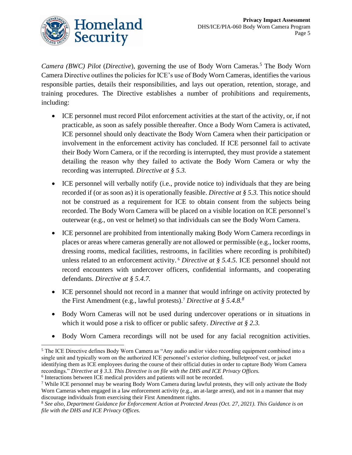

*Camera (BWC) Pilot* (*Directive*), governing the use of Body Worn Cameras*.* <sup>5</sup> The Body Worn Camera Directive outlines the policies for ICE's use of Body Worn Cameras, identifies the various responsible parties, details their responsibilities, and lays out operation, retention, storage, and training procedures. The Directive establishes a number of prohibitions and requirements, including:

- ICE personnel must record Pilot enforcement activities at the start of the activity, or, if not practicable, as soon as safely possible thereafter. Once a Body Worn Camera is activated, ICE personnel should only deactivate the Body Worn Camera when their participation or involvement in the enforcement activity has concluded. If ICE personnel fail to activate their Body Worn Camera, or if the recording is interrupted, they must provide a statement detailing the reason why they failed to activate the Body Worn Camera or why the recording was interrupted. *Directive at § 5.3.*
- ICE personnel will verbally notify (i.e., provide notice to) individuals that they are being recorded if (or as soon as) it is operationally feasible. *Directive at § 5.3.* This notice should not be construed as a requirement for ICE to obtain consent from the subjects being recorded. The Body Worn Camera will be placed on a visible location on ICE personnel's outerwear (e.g., on vest or helmet) so that individuals can see the Body Worn Camera.
- ICE personnel are prohibited from intentionally making Body Worn Camera recordings in places or areas where cameras generally are not allowed or permissible (e.g., locker rooms, dressing rooms, medical facilities, restrooms, in facilities where recording is prohibited) unless related to an enforcement activity. <sup>6</sup> *Directive at § 5.4.5.* ICE personnel should not record encounters with undercover officers, confidential informants, and cooperating defendants. *Directive at § 5.4.7.*
- ICE personnel should not record in a manner that would infringe on activity protected by the First Amendment (e.g., lawful protests).<sup>7</sup> *Directive at § 5.4.8.<sup>8</sup>*
- Body Worn Cameras will not be used during undercover operations or in situations in which it would pose a risk to officer or public safety. *Directive at § 2.3.*
- Body Worn Camera recordings will not be used for any facial recognition activities.

<sup>5</sup> The ICE Directive defines Body Worn Camera as "Any audio and/or video recording equipment combined into a single unit and typically worn on the authorized ICE personnel's exterior clothing, bulletproof vest, or jacket identifying them as ICE employees during the course of their official duties in order to capture Body Worn Camera recordings." *Directive at § 3.3. This Directive is on file with the DHS and ICE Privacy Offices.*

<sup>6</sup> Interactions between ICE medical providers and patients will not be recorded.

<sup>7</sup> While ICE personnel may be wearing Body Worn Camera during lawful protests, they will only activate the Body Worn Cameras when engaged in a law enforcement activity (e.g., an at-large arrest), and not in a manner that may discourage individuals from exercising their First Amendment rights.

<sup>8</sup> *See also, Department Guidance for Enforcement Action at Protected Areas (Oct. 27, 2021). This Guidance is on file with the DHS and ICE Privacy Offices.*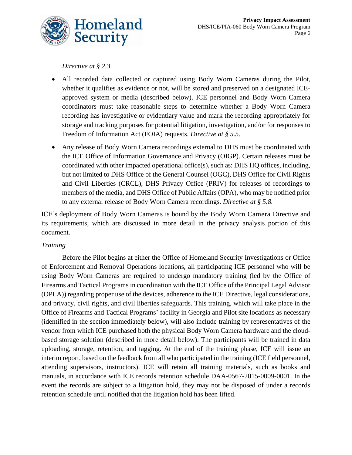

*Directive at § 2.3.*

- All recorded data collected or captured using Body Worn Cameras during the Pilot, whether it qualifies as evidence or not, will be stored and preserved on a designated ICEapproved system or media (described below). ICE personnel and Body Worn Camera coordinators must take reasonable steps to determine whether a Body Worn Camera recording has investigative or evidentiary value and mark the recording appropriately for storage and tracking purposes for potential litigation, investigation, and/or for responses to Freedom of Information Act (FOIA) requests. *Directive at § 5.5*.
- Any release of Body Worn Camera recordings external to DHS must be coordinated with the ICE Office of Information Governance and Privacy (OIGP). Certain releases must be coordinated with other impacted operational office(s), such as: DHS HQ offices, including, but not limited to DHS Office of the General Counsel (OGC), DHS Office for Civil Rights and Civil Liberties (CRCL), DHS Privacy Office (PRIV) for releases of recordings to members of the media, and DHS Office of Public Affairs (OPA), who may be notified prior to any external release of Body Worn Camera recordings. *Directive at § 5.8.*

ICE's deployment of Body Worn Cameras is bound by the Body Worn Camera Directive and its requirements, which are discussed in more detail in the privacy analysis portion of this document.

#### *Training*

Before the Pilot begins at either the Office of Homeland Security Investigations or Office of Enforcement and Removal Operations locations, all participating ICE personnel who will be using Body Worn Cameras are required to undergo mandatory training (led by the Office of Firearms and Tactical Programs in coordination with the ICE Office of the Principal Legal Advisor (OPLA)) regarding proper use of the devices, adherence to the ICE Directive, legal considerations, and privacy, civil rights, and civil liberties safeguards. This training, which will take place in the Office of Firearms and Tactical Programs' facility in Georgia and Pilot site locations as necessary (identified in the section immediately below), will also include training by representatives of the vendor from which ICE purchased both the physical Body Worn Camera hardware and the cloudbased storage solution (described in more detail below). The participants will be trained in data uploading, storage, retention, and tagging. At the end of the training phase, ICE will issue an interim report, based on the feedback from all who participated in the training (ICE field personnel, attending supervisors, instructors). ICE will retain all training materials, such as books and manuals, in accordance with ICE records retention schedule DAA-0567-2015-0009-0001. In the event the records are subject to a litigation hold, they may not be disposed of under a records retention schedule until notified that the litigation hold has been lifted.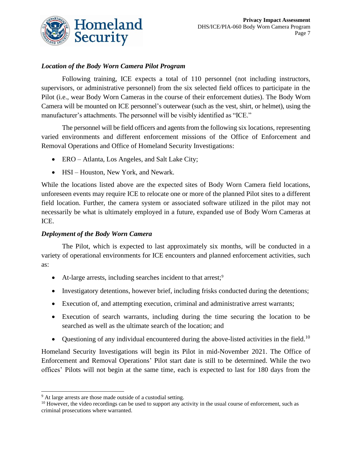

#### *Location of the Body Worn Camera Pilot Program*

Following training, ICE expects a total of 110 personnel (not including instructors, supervisors, or administrative personnel) from the six selected field offices to participate in the Pilot (i.e., wear Body Worn Cameras in the course of their enforcement duties). The Body Worn Camera will be mounted on ICE personnel's outerwear (such as the vest, shirt, or helmet), using the manufacturer's attachments. The personnel will be visibly identified as "ICE."

The personnel will be field officers and agents from the following six locations, representing varied environments and different enforcement missions of the Office of Enforcement and Removal Operations and Office of Homeland Security Investigations:

- ERO Atlanta, Los Angeles, and Salt Lake City;
- HSI Houston, New York, and Newark.

While the locations listed above are the expected sites of Body Worn Camera field locations, unforeseen events may require ICE to relocate one or more of the planned Pilot sites to a different field location. Further, the camera system or associated software utilized in the pilot may not necessarily be what is ultimately employed in a future, expanded use of Body Worn Cameras at ICE.

#### *Deployment of the Body Worn Camera*

The Pilot, which is expected to last approximately six months, will be conducted in a variety of operational environments for ICE encounters and planned enforcement activities, such as:

- At-large arrests, including searches incident to that arrest;<sup>9</sup>
- Investigatory detentions, however brief, including frisks conducted during the detentions;
- Execution of, and attempting execution, criminal and administrative arrest warrants;
- Execution of search warrants, including during the time securing the location to be searched as well as the ultimate search of the location; and
- Questioning of any individual encountered during the above-listed activities in the field.<sup>10</sup>

Homeland Security Investigations will begin its Pilot in mid-November 2021. The Office of Enforcement and Removal Operations' Pilot start date is still to be determined. While the two offices' Pilots will not begin at the same time, each is expected to last for 180 days from the

<sup>&</sup>lt;sup>9</sup> At large arrests are those made outside of a custodial setting.

 $10$  However, the video recordings can be used to support any activity in the usual course of enforcement, such as criminal prosecutions where warranted.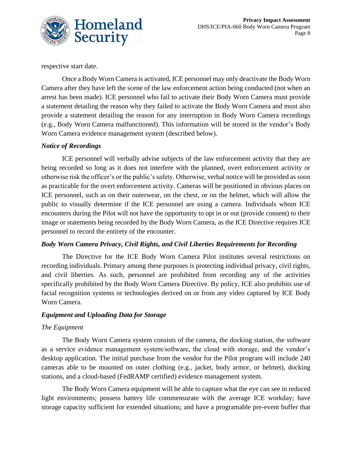

respective start date.

Once a Body Worn Camera is activated, ICE personnel may only deactivate the Body Worn Camera after they have left the scene of the law enforcement action being conducted (not when an arrest has been made). ICE personnel who fail to activate their Body Worn Camera must provide a statement detailing the reason why they failed to activate the Body Worn Camera and must also provide a statement detailing the reason for any interruption in Body Worn Camera recordings (e.g., Body Worn Camera malfunctioned). This information will be stored in the vendor's Body Worn Camera evidence management system (described below).

#### *Notice of Recordings*

ICE personnel will verbally advise subjects of the law enforcement activity that they are being recorded so long as it does not interfere with the planned, overt enforcement activity or otherwise risk the officer's or the public's safety. Otherwise, verbal notice will be provided as soon as practicable for the overt enforcement activity. Cameras will be positioned in obvious places on ICE personnel, such as on their outerwear, on the chest, or on the helmet, which will allow the public to visually determine if the ICE personnel are using a camera. Individuals whom ICE encounters during the Pilot will not have the opportunity to opt in or out (provide consent) to their image or statements being recorded by the Body Worn Camera, as the ICE Directive requires ICE personnel to record the entirety of the encounter.

#### *Body Worn Camera Privacy, Civil Rights, and Civil Liberties Requirements for Recording*

The Directive for the ICE Body Worn Camera Pilot institutes several restrictions on recording individuals. Primary among these purposes is protecting individual privacy, civil rights, and civil liberties. As such, personnel are prohibited from recording any of the activities specifically prohibited by the Body Worn Camera Directive. By policy, ICE also prohibits use of facial recognition systems or technologies derived on or from any video captured by ICE Body Worn Camera.

#### *Equipment and Uploading Data for Storage*

#### *The Equipment*

The Body Worn Camera system consists of the camera, the docking station, the software as a service evidence management system/software, the cloud with storage, and the vendor's desktop application. The initial purchase from the vendor for the Pilot program will include 240 cameras able to be mounted on outer clothing (e.g., jacket, body armor, or helmet), docking stations, and a cloud-based (FedRAMP certified) evidence management system.

The Body Worn Camera equipment will be able to capture what the eye can see in reduced light environments; possess battery life commensurate with the average ICE workday; have storage capacity sufficient for extended situations; and have a programable pre-event buffer that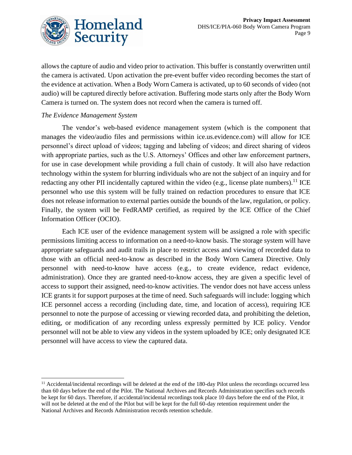

allows the capture of audio and video prior to activation. This buffer is constantly overwritten until the camera is activated. Upon activation the pre-event buffer video recording becomes the start of the evidence at activation. When a Body Worn Camera is activated, up to 60 seconds of video (not audio) will be captured directly before activation. Buffering mode starts only after the Body Worn Camera is turned on. The system does not record when the camera is turned off.

#### *The Evidence Management System*

The vendor's web-based evidence management system (which is the component that manages the video/audio files and permissions within ice.us.evidence.com) will allow for ICE personnel's direct upload of videos; tagging and labeling of videos; and direct sharing of videos with appropriate parties, such as the U.S. Attorneys' Offices and other law enforcement partners, for use in case development while providing a full chain of custody. It will also have redaction technology within the system for blurring individuals who are not the subject of an inquiry and for redacting any other PII incidentally captured within the video (e.g., license plate numbers).<sup>11</sup> ICE personnel who use this system will be fully trained on redaction procedures to ensure that ICE does not release information to external parties outside the bounds of the law, regulation, or policy. Finally, the system will be FedRAMP certified, as required by the ICE Office of the Chief Information Officer (OCIO).

Each ICE user of the evidence management system will be assigned a role with specific permissions limiting access to information on a need-to-know basis. The storage system will have appropriate safeguards and audit trails in place to restrict access and viewing of recorded data to those with an official need-to-know as described in the Body Worn Camera Directive. Only personnel with need-to-know have access (e.g., to create evidence, redact evidence, administration). Once they are granted need-to-know access, they are given a specific level of access to support their assigned, need-to-know activities. The vendor does not have access unless ICE grants it for support purposes at the time of need. Such safeguards will include: logging which ICE personnel access a recording (including date, time, and location of access), requiring ICE personnel to note the purpose of accessing or viewing recorded data, and prohibiting the deletion, editing, or modification of any recording unless expressly permitted by ICE policy. Vendor personnel will not be able to view any videos in the system uploaded by ICE; only designated ICE personnel will have access to view the captured data.

<sup>&</sup>lt;sup>11</sup> Accidental/incidental recordings will be deleted at the end of the 180-day Pilot unless the recordings occurred less than 60 days before the end of the Pilot. The National Archives and Records Administration specifies such records be kept for 60 days. Therefore, if accidental/incidental recordings took place 10 days before the end of the Pilot, it will not be deleted at the end of the Pilot but will be kept for the full 60-day retention requirement under the National Archives and Records Administration records retention schedule.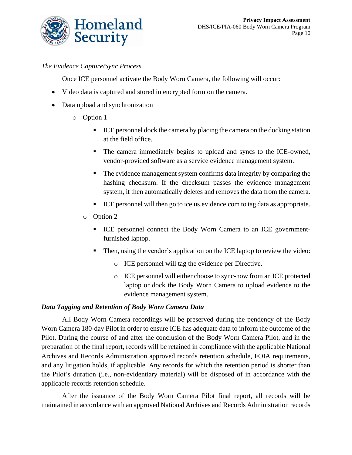

#### *The Evidence Capture/Sync Process*

Once ICE personnel activate the Body Worn Camera, the following will occur:

- Video data is captured and stored in encrypted form on the camera.
- Data upload and synchronization
	- o Option 1
		- ICE personnel dock the camera by placing the camera on the docking station at the field office.
		- The camera immediately begins to upload and syncs to the ICE-owned, vendor-provided software as a service evidence management system.
		- The evidence management system confirms data integrity by comparing the hashing checksum. If the checksum passes the evidence management system, it then automatically deletes and removes the data from the camera.
		- ICE personnel will then go to ice.us.evidence.com to tag data as appropriate.
		- o Option 2
			- ICE personnel connect the Body Worn Camera to an ICE governmentfurnished laptop.
			- Then, using the vendor's application on the ICE laptop to review the video:
				- o ICE personnel will tag the evidence per Directive.
				- o ICE personnel will either choose to sync-now from an ICE protected laptop or dock the Body Worn Camera to upload evidence to the evidence management system.

#### *Data Tagging and Retention of Body Worn Camera Data*

All Body Worn Camera recordings will be preserved during the pendency of the Body Worn Camera 180-day Pilot in order to ensure ICE has adequate data to inform the outcome of the Pilot. During the course of and after the conclusion of the Body Worn Camera Pilot, and in the preparation of the final report, records will be retained in compliance with the applicable National Archives and Records Administration approved records retention schedule, FOIA requirements, and any litigation holds, if applicable. Any records for which the retention period is shorter than the Pilot's duration (i.e., non-evidentiary material) will be disposed of in accordance with the applicable records retention schedule.

After the issuance of the Body Worn Camera Pilot final report, all records will be maintained in accordance with an approved National Archives and Records Administration records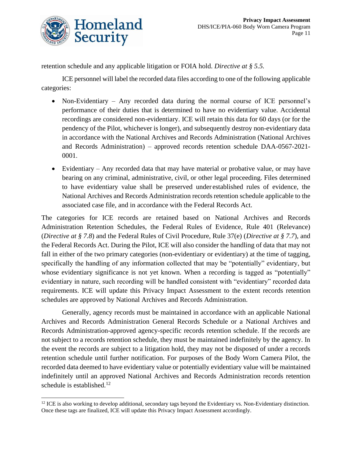

retention schedule and any applicable litigation or FOIA hold. *Directive at § 5.5.*

ICE personnel will label the recorded data files according to one of the following applicable categories:

- Non-Evidentiary Any recorded data during the normal course of ICE personnel's performance of their duties that is determined to have no evidentiary value. Accidental recordings are considered non-evidentiary. ICE will retain this data for 60 days (or for the pendency of the Pilot, whichever is longer), and subsequently destroy non-evidentiary data in accordance with the National Archives and Records Administration (National Archives and Records Administration) – approved records retention schedule DAA-0567-2021- 0001.
- Evidentiary Any recorded data that may have material or probative value, or may have bearing on any criminal, administrative, civil, or other legal proceeding. Files determined to have evidentiary value shall be preserved under established rules of evidence, the National Archives and Records Administration records retention schedule applicable to the associated case file, and in accordance with the Federal Records Act.

The categories for ICE records are retained based on National Archives and Records Administration Retention Schedules, the Federal Rules of Evidence, Rule 401 (Relevance) (*Directive at § 7.8*) and the Federal Rules of Civil Procedure, Rule 37(e) (*Directive at § 7.7*), and the Federal Records Act. During the Pilot, ICE will also consider the handling of data that may not fall in either of the two primary categories (non-evidentiary or evidentiary) at the time of tagging, specifically the handling of any information collected that may be "potentially" evidentiary, but whose evidentiary significance is not yet known. When a recording is tagged as "potentially" evidentiary in nature, such recording will be handled consistent with "evidentiary" recorded data requirements. ICE will update this Privacy Impact Assessment to the extent records retention schedules are approved by National Archives and Records Administration.

Generally, agency records must be maintained in accordance with an applicable National Archives and Records Administration General Records Schedule or a National Archives and Records Administration-approved agency-specific records retention schedule. If the records are not subject to a records retention schedule, they must be maintained indefinitely by the agency. In the event the records are subject to a litigation hold, they may not be disposed of under a records retention schedule until further notification. For purposes of the Body Worn Camera Pilot, the recorded data deemed to have evidentiary value or potentially evidentiary value will be maintained indefinitely until an approved National Archives and Records Administration records retention schedule is established.<sup>12</sup>

<sup>&</sup>lt;sup>12</sup> ICE is also working to develop additional, secondary tags beyond the Evidentiary vs. Non-Evidentiary distinction. Once these tags are finalized, ICE will update this Privacy Impact Assessment accordingly.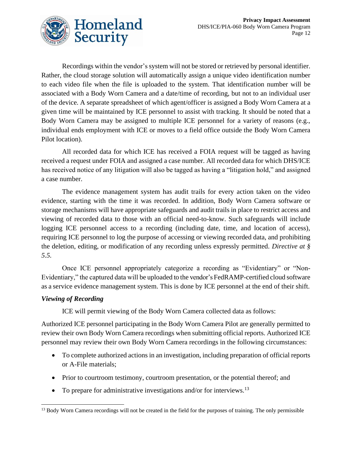

Recordings within the vendor's system will not be stored or retrieved by personal identifier. Rather, the cloud storage solution will automatically assign a unique video identification number to each video file when the file is uploaded to the system. That identification number will be associated with a Body Worn Camera and a date/time of recording, but not to an individual user of the device. A separate spreadsheet of which agent/officer is assigned a Body Worn Camera at a given time will be maintained by ICE personnel to assist with tracking. It should be noted that a Body Worn Camera may be assigned to multiple ICE personnel for a variety of reasons (e.g., individual ends employment with ICE or moves to a field office outside the Body Worn Camera Pilot location).

All recorded data for which ICE has received a FOIA request will be tagged as having received a request under FOIA and assigned a case number. All recorded data for which DHS/ICE has received notice of any litigation will also be tagged as having a "litigation hold," and assigned a case number.

The evidence management system has audit trails for every action taken on the video evidence, starting with the time it was recorded. In addition, Body Worn Camera software or storage mechanisms will have appropriate safeguards and audit trails in place to restrict access and viewing of recorded data to those with an official need-to-know. Such safeguards will include logging ICE personnel access to a recording (including date, time, and location of access), requiring ICE personnel to log the purpose of accessing or viewing recorded data, and prohibiting the deletion, editing, or modification of any recording unless expressly permitted. *Directive at § 5.5.*

Once ICE personnel appropriately categorize a recording as "Evidentiary" or "Non-Evidentiary," the captured data will be uploaded to the vendor's FedRAMP-certified cloud software as a service evidence management system. This is done by ICE personnel at the end of their shift.

#### *Viewing of Recording*

ICE will permit viewing of the Body Worn Camera collected data as follows:

Authorized ICE personnel participating in the Body Worn Camera Pilot are generally permitted to review their own Body Worn Camera recordings when submitting official reports. Authorized ICE personnel may review their own Body Worn Camera recordings in the following circumstances:

- To complete authorized actions in an investigation, including preparation of official reports or A-File materials;
- Prior to courtroom testimony, courtroom presentation, or the potential thereof; and
- To prepare for administrative investigations and/or for interviews.<sup>13</sup>

<sup>&</sup>lt;sup>13</sup> Body Worn Camera recordings will not be created in the field for the purposes of training. The only permissible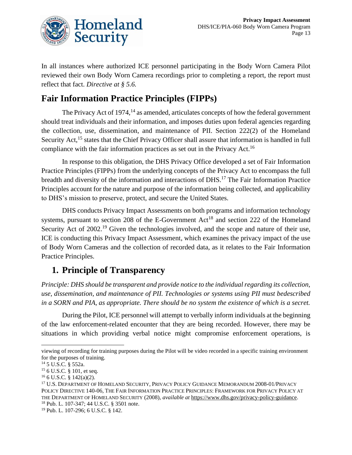

In all instances where authorized ICE personnel participating in the Body Worn Camera Pilot reviewed their own Body Worn Camera recordings prior to completing a report, the report must reflect that fact. *Directive at § 5.6.*

## **Fair Information Practice Principles (FIPPs)**

The Privacy Act of  $1974<sup>14</sup>$  as amended, articulates concepts of how the federal government should treat individuals and their information, and imposes duties upon federal agencies regarding the collection, use, dissemination, and maintenance of PII. Section 222(2) of the Homeland Security Act,<sup>15</sup> states that the Chief Privacy Officer shall assure that information is handled in full compliance with the fair information practices as set out in the Privacy Act.<sup>16</sup>

In response to this obligation, the DHS Privacy Office developed a set of Fair Information Practice Principles (FIPPs) from the underlying concepts of the Privacy Act to encompass the full breadth and diversity of the information and interactions of DHS.<sup>17</sup> The Fair Information Practice Principles account for the nature and purpose of the information being collected, and applicability to DHS's mission to preserve, protect, and secure the United States.

DHS conducts Privacy Impact Assessments on both programs and information technology systems, pursuant to section 208 of the E-Government  $Act^{18}$  and section 222 of the Homeland Security Act of 2002.<sup>19</sup> Given the technologies involved, and the scope and nature of their use, ICE is conducting this Privacy Impact Assessment, which examines the privacy impact of the use of Body Worn Cameras and the collection of recorded data, as it relates to the Fair Information Practice Principles.

## **1. Principle of Transparency**

*Principle: DHS should be transparent and provide notice to the individual regarding its collection, use, dissemination, and maintenance of PII. Technologies or systems using PII must bedescribed in a SORN and PIA, as appropriate. There should be no system the existence of which is a secret.*

During the Pilot, ICE personnel will attempt to verbally inform individuals at the beginning of the law enforcement-related encounter that they are being recorded. However, there may be situations in which providing verbal notice might compromise enforcement operations, is

viewing of recording for training purposes during the Pilot will be video recorded in a specific training environment for the purposes of training.

<sup>14</sup> 5 U.S.C. § 552a.

<sup>&</sup>lt;sup>15</sup> 6 U.S.C. § 101, et seq.

 $16$  6 U.S.C. § 142(a)(2).

<sup>17</sup> U.S. DEPARTMENT OF HOMELAND SECURITY, PRIVACY POLICY GUIDANCE MEMORANDUM 2008-01/PRIVACY POLICY DIRECTIVE 140-06, THE FAIR INFORMATION PRACTICE PRINCIPLES: FRAMEWORK FOR PRIVACY POLICY AT THE DEPARTMENT OF HOMELAND SECURITY (2008), *available at* [https://www.dhs.gov/privacy-policy-guidance.](https://www.dhs.gov/privacy-policy-guidance) <sup>18</sup> Pub. L. 107-347; 44 U.S.C. § 3501 note.

<sup>19</sup> Pub. L. 107-296; 6 U.S.C. § 142.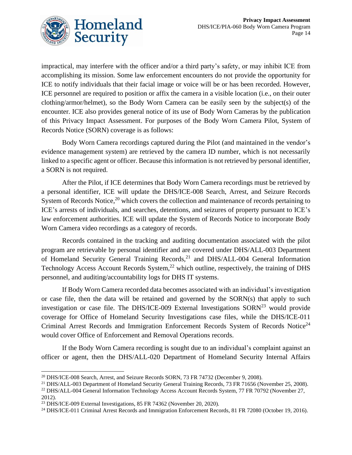

impractical, may interfere with the officer and/or a third party's safety, or may inhibit ICE from accomplishing its mission. Some law enforcement encounters do not provide the opportunity for ICE to notify individuals that their facial image or voice will be or has been recorded. However, ICE personnel are required to position or affix the camera in a visible location (i.e., on their outer clothing/armor/helmet), so the Body Worn Camera can be easily seen by the subject(s) of the encounter. ICE also provides general notice of its use of Body Worn Cameras by the publication of this Privacy Impact Assessment. For purposes of the Body Worn Camera Pilot, System of Records Notice (SORN) coverage is as follows:

Body Worn Camera recordings captured during the Pilot (and maintained in the vendor's evidence management system) are retrieved by the camera ID number, which is not necessarily linked to a specific agent or officer. Because this information is not retrieved by personal identifier, a SORN is not required.

After the Pilot, if ICE determines that Body Worn Camera recordings must be retrieved by a personal identifier, ICE will update the DHS/ICE-008 Search, Arrest, and Seizure Records System of Records Notice,<sup>20</sup> which covers the collection and maintenance of records pertaining to ICE's arrests of individuals, and searches, detentions, and seizures of property pursuant to ICE's law enforcement authorities. ICE will update the System of Records Notice to incorporate Body Worn Camera video recordings as a category of records.

Records contained in the tracking and auditing documentation associated with the pilot program are retrievable by personal identifier and are covered under DHS/ALL-003 Department of Homeland Security General Training Records,<sup>21</sup> and DHS/ALL-004 General Information Technology Access Account Records System, $^{22}$  which outline, respectively, the training of DHS personnel, and auditing/accountability logs for DHS IT systems.

If Body Worn Camera recorded data becomes associated with an individual's investigation or case file, then the data will be retained and governed by the SORN(s) that apply to such investigation or case file. The DHS/ICE-009 External Investigations  $SORN^{23}$  would provide coverage for Office of Homeland Security Investigations case files, while the DHS/ICE-011 Criminal Arrest Records and Immigration Enforcement Records System of Records Notice<sup>24</sup> would cover Office of Enforcement and Removal Operations records.

If the Body Worn Camera recording is sought due to an individual's complaint against an officer or agent, then the DHS/ALL-020 Department of Homeland Security Internal Affairs

<sup>20</sup> DHS/ICE-008 Search, Arrest, and Seizure Records SORN, 73 FR 74732 (December 9, 2008).

<sup>&</sup>lt;sup>21</sup> DHS/ALL-003 Department of Homeland Security General Training Records, 73 FR 71656 (November 25, 2008). <sup>22</sup> DHS/ALL-004 General Information Technology Access Account Records System, 77 FR 70792 (November 27,

<sup>2012).</sup>  $^{23}$  DHS/ICE-009 External Investigations, 85 FR 74362 (November 20, 2020).

<sup>&</sup>lt;sup>24</sup> DHS/ICE-011 Criminal Arrest Records and Immigration Enforcement Records, 81 FR 72080 (October 19, 2016).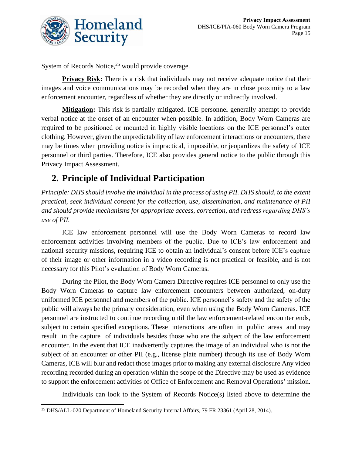

System of Records Notice,<sup>25</sup> would provide coverage.

**Privacy Risk:** There is a risk that individuals may not receive adequate notice that their images and voice communications may be recorded when they are in close proximity to a law enforcement encounter, regardless of whether they are directly or indirectly involved.

**Mitigation:** This risk is partially mitigated. ICE personnel generally attempt to provide verbal notice at the onset of an encounter when possible. In addition, Body Worn Cameras are required to be positioned or mounted in highly visible locations on the ICE personnel's outer clothing. However, given the unpredictability of law enforcement interactions or encounters, there may be times when providing notice is impractical, impossible, or jeopardizes the safety of ICE personnel or third parties. Therefore, ICE also provides general notice to the public through this Privacy Impact Assessment.

## **2. Principle of Individual Participation**

*Principle: DHS should involve the individual in the process of using PII. DHS should, to the extent practical, seek individual consent for the collection, use, dissemination, and maintenance of PII and should provide mechanisms for appropriate access, correction, and redress regarding DHS's use of PII.*

ICE law enforcement personnel will use the Body Worn Cameras to record law enforcement activities involving members of the public. Due to ICE's law enforcement and national security missions, requiring ICE to obtain an individual's consent before ICE's capture of their image or other information in a video recording is not practical or feasible, and is not necessary for this Pilot's evaluation of Body Worn Cameras.

During the Pilot, the Body Worn Camera Directive requires ICE personnel to only use the Body Worn Cameras to capture law enforcement encounters between authorized, on-duty uniformed ICE personnel and members of the public. ICE personnel's safety and the safety of the public will always be the primary consideration, even when using the Body Worn Cameras. ICE personnel are instructed to continue recording until the law enforcement-related encounter ends, subject to certain specified exceptions. These interactions are often in public areas and may result in the capture of individuals besides those who are the subject of the law enforcement encounter. In the event that ICE inadvertently captures the image of an individual who is not the subject of an encounter or other PII (e.g., license plate number) through its use of Body Worn Cameras, ICE will blur and redact those images prior to making any external disclosure Any video recording recorded during an operation within the scope of the Directive may be used as evidence to support the enforcement activities of Office of Enforcement and Removal Operations' mission.

Individuals can look to the System of Records Notice(s) listed above to determine the

<sup>25</sup> DHS/ALL-020 Department of Homeland Security Internal Affairs, 79 FR 23361 (April 28, 2014).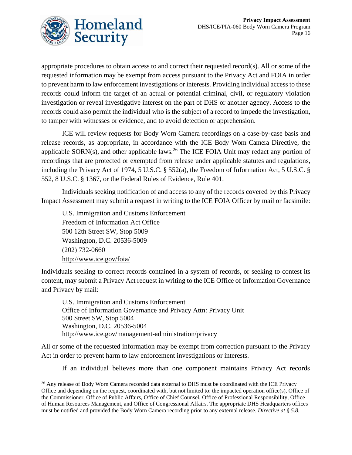

appropriate procedures to obtain access to and correct their requested record(s). All or some of the requested information may be exempt from access pursuant to the Privacy Act and FOIA in order to prevent harm to law enforcement investigations or interests. Providing individual access to these records could inform the target of an actual or potential criminal, civil, or regulatory violation investigation or reveal investigative interest on the part of DHS or another agency. Access to the records could also permit the individual who is the subject of a record to impede the investigation, to tamper with witnesses or evidence, and to avoid detection or apprehension.

ICE will review requests for Body Worn Camera recordings on a case-by-case basis and release records, as appropriate, in accordance with the ICE Body Worn Camera Directive, the applicable  $SORN(s)$ , and other applicable laws.<sup>26</sup> The ICE FOIA Unit may redact any portion of recordings that are protected or exempted from release under applicable statutes and regulations, including the Privacy Act of 1974, 5 U.S.C. § 552(a), the Freedom of Information Act, 5 U.S.C. § 552, 8 U.S.C. § 1367, or the Federal Rules of Evidence, Rule 401.

Individuals seeking notification of and access to any of the records covered by this Privacy Impact Assessment may submit a request in writing to the ICE FOIA Officer by mail or facsimile:

U.S. Immigration and Customs Enforcement Freedom of Information Act Office 500 12th Street SW, Stop 5009 Washington, D.C. 20536-5009 (202) 732-0660 <http://www.ice.gov/foia/>

Individuals seeking to correct records contained in a system of records, or seeking to contest its content, may submit a Privacy Act request in writing to the ICE Office of Information Governance and Privacy by mail:

U.S. Immigration and Customs Enforcement Office of Information Governance and Privacy Attn: Privacy Unit 500 Street SW, Stop 5004 Washington, D.C. 20536-5004 <http://www.ice.gov/management-administration/privacy>

All or some of the requested information may be exempt from correction pursuant to the Privacy Act in order to prevent harm to law enforcement investigations or interests.

If an individual believes more than one component maintains Privacy Act records

<sup>&</sup>lt;sup>26</sup> Any release of Body Worn Camera recorded data external to DHS must be coordinated with the ICE Privacy Office and depending on the request, coordinated with, but not limited to: the impacted operation office(s), Office of the Commissioner, Office of Public Affairs, Office of Chief Counsel, Office of Professional Responsibility, Office of Human Resources Management, and Office of Congressional Affairs. The appropriate DHS Headquarters offices must be notified and provided the Body Worn Camera recording prior to any external release. *Directive at § 5.8.*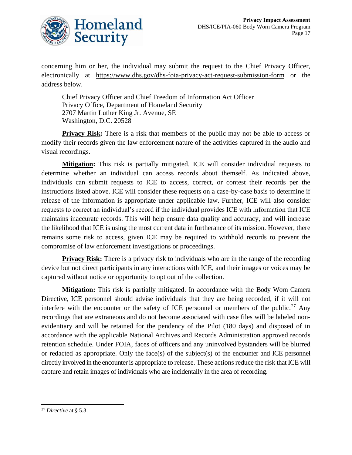

concerning him or her, the individual may submit the request to the Chief Privacy Officer, electronically at <https://www.dhs.gov/dhs-foia-privacy-act-request-submission-form> or the address below.

Chief Privacy Officer and Chief Freedom of Information Act Officer Privacy Office, Department of Homeland Security 2707 Martin Luther King Jr. Avenue, SE Washington, D.C. 20528

**Privacy Risk:** There is a risk that members of the public may not be able to access or modify their records given the law enforcement nature of the activities captured in the audio and visual recordings.

**Mitigation:** This risk is partially mitigated. ICE will consider individual requests to determine whether an individual can access records about themself. As indicated above, individuals can submit requests to ICE to access, correct, or contest their records per the instructions listed above. ICE will consider these requests on a case-by-case basis to determine if release of the information is appropriate under applicable law. Further, ICE will also consider requests to correct an individual's record if the individual provides ICE with information that ICE maintains inaccurate records. This will help ensure data quality and accuracy, and will increase the likelihood that ICE is using the most current data in furtherance of its mission. However, there remains some risk to access, given ICE may be required to withhold records to prevent the compromise of law enforcement investigations or proceedings.

**Privacy Risk:** There is a privacy risk to individuals who are in the range of the recording device but not direct participants in any interactions with ICE, and their images or voices may be captured without notice or opportunity to opt out of the collection.

**Mitigation:** This risk is partially mitigated. In accordance with the Body Worn Camera Directive, ICE personnel should advise individuals that they are being recorded, if it will not interfere with the encounter or the safety of ICE personnel or members of the public.<sup>27</sup> Any recordings that are extraneous and do not become associated with case files will be labeled nonevidentiary and will be retained for the pendency of the Pilot (180 days) and disposed of in accordance with the applicable National Archives and Records Administration approved records retention schedule. Under FOIA, faces of officers and any uninvolved bystanders will be blurred or redacted as appropriate. Only the face(s) of the subject(s) of the encounter and ICE personnel directly involved in the encounter is appropriate to release. These actions reduce the risk that ICE will capture and retain images of individuals who are incidentally in the area of recording.

<sup>27</sup> *Directive* at § 5.3.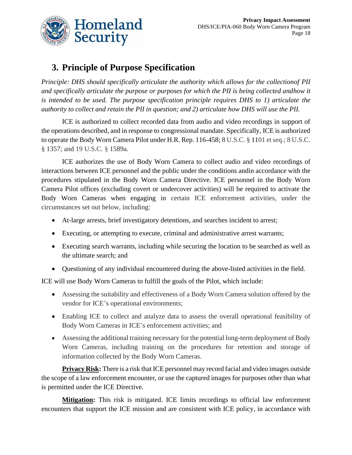

## **3. Principle of Purpose Specification**

*Principle: DHS should specifically articulate the authority which allows for the collectionof PII and specifically articulate the purpose or purposes for which the PII is being collected andhow it is intended to be used. The purpose specification principle requires DHS to 1) articulate the authority to collect and retain the PII in question; and 2) articulate how DHS will use the PII.*

ICE is authorized to collect recorded data from audio and video recordings in support of the operations described, and in response to congressional mandate. Specifically, ICE is authorized to operate the Body Worn Camera Pilot under H.R. Rep. 116-458; 8 U.S.C. § 1101 et seq.; 8 U.S.C. § 1357; and 19 U.S.C. § 1589a.

ICE authorizes the use of Body Worn Camera to collect audio and video recordings of interactions between ICE personnel and the public under the conditions andin accordance with the procedures stipulated in the Body Worn Camera Directive. ICE personnel in the Body Worn Camera Pilot offices (excluding covert or undercover activities) will be required to activate the Body Worn Cameras when engaging in certain ICE enforcement activities, under the circumstances set out below, including:

- At-large arrests, brief investigatory detentions, and searches incident to arrest;
- Executing, or attempting to execute, criminal and administrative arrest warrants;
- Executing search warrants, including while securing the location to be searched as well as the ultimate search; and
- Questioning of any individual encountered during the above-listed activities in the field.

ICE will use Body Worn Cameras to fulfill the goals of the Pilot, which include:

- Assessing the suitability and effectiveness of a Body Worn Camera solution offered by the vendor for ICE's operational environments;
- Enabling ICE to collect and analyze data to assess the overall operational feasibility of Body Worn Cameras in ICE's enforcement activities; and
- Assessing the additional training necessary for the potential long-term deployment of Body Worn Cameras, including training on the procedures for retention and storage of information collected by the Body Worn Cameras.

**Privacy Risk:** There is a risk that ICE personnel may record facial and video images outside the scope of a law enforcement encounter, or use the captured images for purposes other than what is permitted under the ICE Directive.

**Mitigation:** This risk is mitigated. ICE limits recordings to official law enforcement encounters that support the ICE mission and are consistent with ICE policy, in accordance with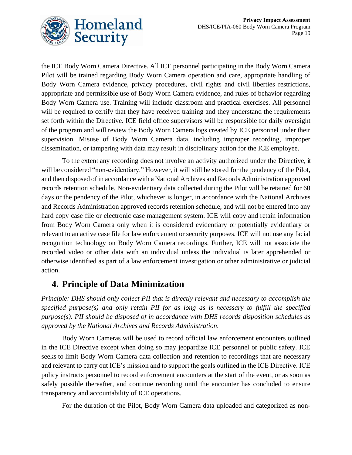

the ICE Body Worn Camera Directive. All ICE personnel participating in the Body Worn Camera Pilot will be trained regarding Body Worn Camera operation and care, appropriate handling of Body Worn Camera evidence, privacy procedures, civil rights and civil liberties restrictions, appropriate and permissible use of Body Worn Camera evidence, and rules of behavior regarding Body Worn Camera use. Training will include classroom and practical exercises. All personnel will be required to certify that they have received training and they understand the requirements set forth within the Directive. ICE field office supervisors will be responsible for daily oversight of the program and will review the Body Worn Camera logs created by ICE personnel under their supervision. Misuse of Body Worn Camera data, including improper recording, improper dissemination, or tampering with data may result in disciplinary action for the ICE employee.

To the extent any recording does not involve an activity authorized under the Directive, it will be considered "non-evidentiary." However, it will still be stored for the pendency of the Pilot, and then disposed of in accordance with a National Archives and Records Administration approved records retention schedule. Non-evidentiary data collected during the Pilot will be retained for 60 days or the pendency of the Pilot, whichever is longer, in accordance with the National Archives and Records Administration approved records retention schedule, and will not be entered into any hard copy case file or electronic case management system. ICE will copy and retain information from Body Worn Camera only when it is considered evidentiary or potentially evidentiary or relevant to an active case file for law enforcement or security purposes. ICE will not use any facial recognition technology on Body Worn Camera recordings. Further, ICE will not associate the recorded video or other data with an individual unless the individual is later apprehended or otherwise identified as part of a law enforcement investigation or other administrative or judicial action.

## **4. Principle of Data Minimization**

*Principle: DHS should only collect PII that is directly relevant and necessary to accomplish the specified purpose(s) and only retain PII for as long as is necessary to fulfill the specified purpose(s). PII should be disposed of in accordance with DHS records disposition schedules as approved by the National Archives and Records Administration.*

Body Worn Cameras will be used to record official law enforcement encounters outlined in the ICE Directive except when doing so may jeopardize ICE personnel or public safety. ICE seeks to limit Body Worn Camera data collection and retention to recordings that are necessary and relevant to carry out ICE's mission and to support the goals outlined in the ICE Directive. ICE policy instructs personnel to record enforcement encounters at the start of the event, or as soon as safely possible thereafter, and continue recording until the encounter has concluded to ensure transparency and accountability of ICE operations.

For the duration of the Pilot, Body Worn Camera data uploaded and categorized as non-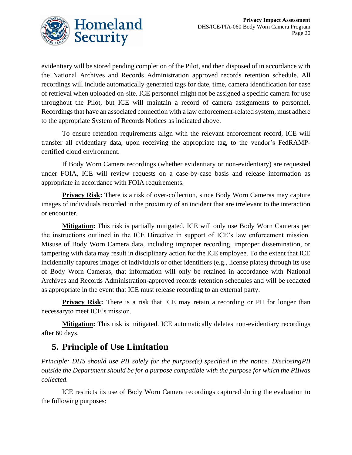

evidentiary will be stored pending completion of the Pilot, and then disposed of in accordance with the National Archives and Records Administration approved records retention schedule. All recordings will include automatically generated tags for date, time, camera identification for ease of retrieval when uploaded on-site. ICE personnel might not be assigned a specific camera for use throughout the Pilot, but ICE will maintain a record of camera assignments to personnel. Recordings that have an associated connection with a law enforcement-related system, must adhere to the appropriate System of Records Notices as indicated above.

To ensure retention requirements align with the relevant enforcement record, ICE will transfer all evidentiary data, upon receiving the appropriate tag, to the vendor's FedRAMPcertified cloud environment.

If Body Worn Camera recordings (whether evidentiary or non-evidentiary) are requested under FOIA, ICE will review requests on a case-by-case basis and release information as appropriate in accordance with FOIA requirements.

**Privacy Risk:** There is a risk of over-collection, since Body Worn Cameras may capture images of individuals recorded in the proximity of an incident that are irrelevant to the interaction or encounter.

**Mitigation:** This risk is partially mitigated. ICE will only use Body Worn Cameras per the instructions outlined in the ICE Directive in support of ICE's law enforcement mission. Misuse of Body Worn Camera data, including improper recording, improper dissemination, or tampering with data may result in disciplinary action for the ICE employee. To the extent that ICE incidentally captures images of individuals or other identifiers (e.g., license plates) through its use of Body Worn Cameras, that information will only be retained in accordance with National Archives and Records Administration-approved records retention schedules and will be redacted as appropriate in the event that ICE must release recording to an external party.

**Privacy Risk:** There is a risk that ICE may retain a recording or PII for longer than necessaryto meet ICE's mission.

**Mitigation:** This risk is mitigated. ICE automatically deletes non-evidentiary recordings after 60 days.

## **5. Principle of Use Limitation**

*Principle: DHS should use PII solely for the purpose(s) specified in the notice. DisclosingPII outside the Department should be for a purpose compatible with the purpose for which the PIIwas collected.*

ICE restricts its use of Body Worn Camera recordings captured during the evaluation to the following purposes: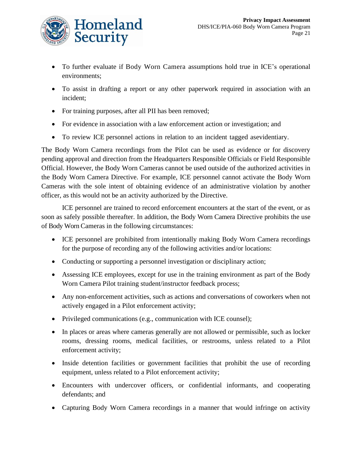

- To further evaluate if Body Worn Camera assumptions hold true in ICE's operational environments;
- To assist in drafting a report or any other paperwork required in association with an incident;
- For training purposes, after all PII has been removed;
- For evidence in association with a law enforcement action or investigation; and
- To review ICE personnel actions in relation to an incident tagged asevidentiary.

The Body Worn Camera recordings from the Pilot can be used as evidence or for discovery pending approval and direction from the Headquarters Responsible Officials or Field Responsible Official. However, the Body Worn Cameras cannot be used outside of the authorized activities in the Body Worn Camera Directive. For example, ICE personnel cannot activate the Body Worn Cameras with the sole intent of obtaining evidence of an administrative violation by another officer, as this would not be an activity authorized by the Directive.

ICE personnel are trained to record enforcement encounters at the start of the event, or as soon as safely possible thereafter. In addition, the Body Worn Camera Directive prohibits the use of Body Worn Cameras in the following circumstances:

- ICE personnel are prohibited from intentionally making Body Worn Camera recordings for the purpose of recording any of the following activities and/or locations:
- Conducting or supporting a personnel investigation or disciplinary action;
- Assessing ICE employees, except for use in the training environment as part of the Body Worn Camera Pilot training student/instructor feedback process;
- Any non-enforcement activities, such as actions and conversations of coworkers when not actively engaged in a Pilot enforcement activity;
- Privileged communications (e.g., communication with ICE counsel);
- In places or areas where cameras generally are not allowed or permissible, such as locker rooms, dressing rooms, medical facilities, or restrooms, unless related to a Pilot enforcement activity;
- Inside detention facilities or government facilities that prohibit the use of recording equipment, unless related to a Pilot enforcement activity;
- Encounters with undercover officers, or confidential informants, and cooperating defendants; and
- Capturing Body Worn Camera recordings in a manner that would infringe on activity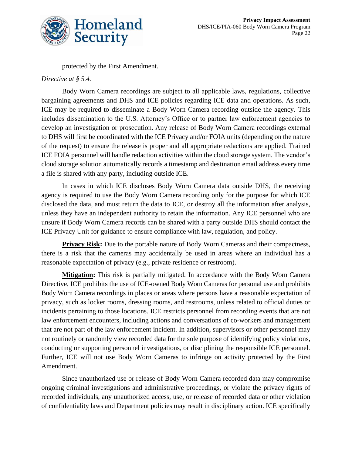

protected by the First Amendment.

#### *Directive at § 5.4.*

Body Worn Camera recordings are subject to all applicable laws, regulations, collective bargaining agreements and DHS and ICE policies regarding ICE data and operations. As such, ICE may be required to disseminate a Body Worn Camera recording outside the agency. This includes dissemination to the U.S. Attorney's Office or to partner law enforcement agencies to develop an investigation or prosecution. Any release of Body Worn Camera recordings external to DHS will first be coordinated with the ICE Privacy and/or FOIA units (depending on the nature of the request) to ensure the release is proper and all appropriate redactions are applied. Trained ICE FOIA personnel will handle redaction activities within the cloud storage system. The vendor's cloud storage solution automatically records a timestamp and destination email address every time a file is shared with any party, including outside ICE.

In cases in which ICE discloses Body Worn Camera data outside DHS, the receiving agency is required to use the Body Worn Camera recording only for the purpose for which ICE disclosed the data, and must return the data to ICE, or destroy all the information after analysis, unless they have an independent authority to retain the information. Any ICE personnel who are unsure if Body Worn Camera records can be shared with a party outside DHS should contact the ICE Privacy Unit for guidance to ensure compliance with law, regulation, and policy.

**Privacy Risk:** Due to the portable nature of Body Worn Cameras and their compactness, there is a risk that the cameras may accidentally be used in areas where an individual has a reasonable expectation of privacy (e.g., private residence or restroom).

**Mitigation:** This risk is partially mitigated. In accordance with the Body Worn Camera Directive, ICE prohibits the use of ICE-owned Body Worn Cameras for personal use and prohibits Body Worn Camera recordings in places or areas where persons have a reasonable expectation of privacy, such as locker rooms, dressing rooms, and restrooms, unless related to official duties or incidents pertaining to those locations. ICE restricts personnel from recording events that are not law enforcement encounters, including actions and conversations of co-workers and management that are not part of the law enforcement incident. In addition, supervisors or other personnel may not routinely or randomly view recorded data for the sole purpose of identifying policy violations, conducting or supporting personnel investigations, or disciplining the responsible ICE personnel. Further, ICE will not use Body Worn Cameras to infringe on activity protected by the First Amendment.

Since unauthorized use or release of Body Worn Camera recorded data may compromise ongoing criminal investigations and administrative proceedings, or violate the privacy rights of recorded individuals, any unauthorized access, use, or release of recorded data or other violation of confidentiality laws and Department policies may result in disciplinary action. ICE specifically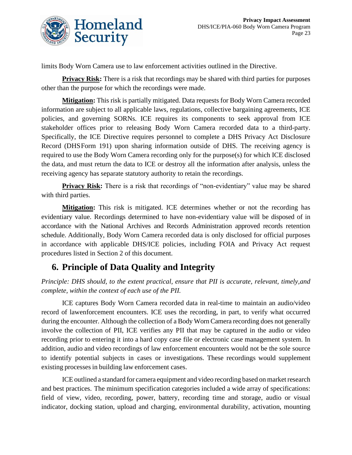

limits Body Worn Camera use to law enforcement activities outlined in the Directive.

**Privacy Risk:** There is a risk that recordings may be shared with third parties for purposes other than the purpose for which the recordings were made.

**Mitigation:** This risk is partially mitigated. Data requests for Body Worn Camera recorded information are subject to all applicable laws, regulations, collective bargaining agreements, ICE policies, and governing SORNs. ICE requires its components to seek approval from ICE stakeholder offices prior to releasing Body Worn Camera recorded data to a third-party. Specifically, the ICE Directive requires personnel to complete a DHS Privacy Act Disclosure Record (DHSForm 191) upon sharing information outside of DHS. The receiving agency is required to use the Body Worn Camera recording only for the purpose(s) for which ICE disclosed the data, and must return the data to ICE or destroy all the information after analysis, unless the receiving agency has separate statutory authority to retain the recordings.

**Privacy Risk:** There is a risk that recordings of "non-evidentiary" value may be shared with third parties.

**Mitigation:** This risk is mitigated. ICE determines whether or not the recording has evidentiary value. Recordings determined to have non-evidentiary value will be disposed of in accordance with the National Archives and Records Administration approved records retention schedule. Additionally, Body Worn Camera recorded data is only disclosed for official purposes in accordance with applicable DHS/ICE policies, including FOIA and Privacy Act request procedures listed in Section 2 of this document.

## **6. Principle of Data Quality and Integrity**

*Principle: DHS should, to the extent practical, ensure that PII is accurate, relevant, timely,and complete, within the context of each use of the PII.*

ICE captures Body Worn Camera recorded data in real-time to maintain an audio/video record of lawenforcement encounters. ICE uses the recording, in part, to verify what occurred during the encounter. Although the collection of a Body Worn Camera recording does not generally involve the collection of PII, ICE verifies any PII that may be captured in the audio or video recording prior to entering it into a hard copy case file or electronic case management system. In addition, audio and video recordings of law enforcement encounters would not be the sole source to identify potential subjects in cases or investigations. These recordings would supplement existing processesin building law enforcement cases.

ICE outlined a standard for camera equipment and video recording based on market research and best practices. The minimum specification categories included a wide array of specifications: field of view, video, recording, power, battery, recording time and storage, audio or visual indicator, docking station, upload and charging, environmental durability, activation, mounting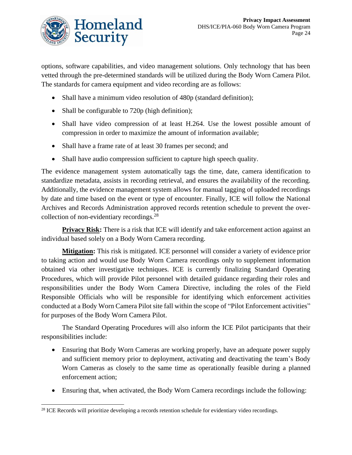

options, software capabilities, and video management solutions. Only technology that has been vetted through the pre-determined standards will be utilized during the Body Worn Camera Pilot. The standards for camera equipment and video recording are as follows:

- Shall have a minimum video resolution of 480p (standard definition);
- Shall be configurable to 720p (high definition);
- Shall have video compression of at least H.264. Use the lowest possible amount of compression in order to maximize the amount of information available;
- Shall have a frame rate of at least 30 frames per second; and
- Shall have audio compression sufficient to capture high speech quality.

The evidence management system automatically tags the time, date, camera identification to standardize metadata, assists in recording retrieval, and ensures the availability of the recording. Additionally, the evidence management system allows for manual tagging of uploaded recordings by date and time based on the event or type of encounter. Finally, ICE will follow the National Archives and Records Administration approved records retention schedule to prevent the overcollection of non-evidentiary recordings.<sup>28</sup>

**Privacy Risk:** There is a risk that ICE will identify and take enforcement action against an individual based solely on a Body Worn Camera recording.

**Mitigation:** This risk is mitigated. ICE personnel will consider a variety of evidence prior to taking action and would use Body Worn Camera recordings only to supplement information obtained via other investigative techniques. ICE is currently finalizing Standard Operating Procedures, which will provide Pilot personnel with detailed guidance regarding their roles and responsibilities under the Body Worn Camera Directive, including the roles of the Field Responsible Officials who will be responsible for identifying which enforcement activities conducted at a Body Worn Camera Pilot site fall within the scope of "Pilot Enforcement activities" for purposes of the Body Worn Camera Pilot.

The Standard Operating Procedures will also inform the ICE Pilot participants that their responsibilities include:

- Ensuring that Body Worn Cameras are working properly, have an adequate power supply and sufficient memory prior to deployment, activating and deactivating the team's Body Worn Cameras as closely to the same time as operationally feasible during a planned enforcement action;
- Ensuring that, when activated, the Body Worn Camera recordings include the following:

<sup>&</sup>lt;sup>28</sup> ICE Records will prioritize developing a records retention schedule for evidentiary video recordings.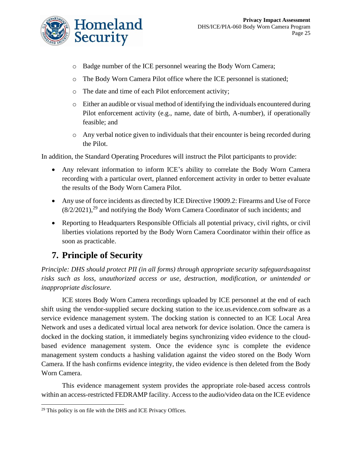

- o Badge number of the ICE personnel wearing the Body Worn Camera;
- o The Body Worn Camera Pilot office where the ICE personnel is stationed;
- o The date and time of each Pilot enforcement activity;
- o Either an audible or visual method of identifying the individuals encountered during Pilot enforcement activity (e.g., name, date of birth, A-number), if operationally feasible; and
- o Any verbal notice given to individuals that their encounter is being recorded during the Pilot.

In addition, the Standard Operating Procedures will instruct the Pilot participants to provide:

- Any relevant information to inform ICE's ability to correlate the Body Worn Camera recording with a particular overt, planned enforcement activity in order to better evaluate the results of the Body Worn Camera Pilot.
- Any use of force incidents as directed by ICE Directive 19009.2: Firearms and Use of Force  $(8/2/2021)$ ,<sup>29</sup> and notifying the Body Worn Camera Coordinator of such incidents; and
- Reporting to Headquarters Responsible Officials all potential privacy, civil rights, or civil liberties violations reported by the Body Worn Camera Coordinator within their office as soon as practicable.

## **7. Principle of Security**

*Principle: DHS should protect PII (in all forms) through appropriate security safeguardsagainst risks such as loss, unauthorized access or use, destruction, modification, or unintended or inappropriate disclosure.*

ICE stores Body Worn Camera recordings uploaded by ICE personnel at the end of each shift using the vendor-supplied secure docking station to the ice.us.evidence.com software as a service evidence management system. The docking station is connected to an ICE Local Area Network and uses a dedicated virtual local area network for device isolation. Once the camera is docked in the docking station, it immediately begins synchronizing video evidence to the cloudbased evidence management system. Once the evidence sync is complete the evidence management system conducts a hashing validation against the video stored on the Body Worn Camera. If the hash confirms evidence integrity, the video evidence is then deleted from the Body Worn Camera.

This evidence management system provides the appropriate role-based access controls within an access-restricted FEDRAMP facility. Access to the audio/video data on the ICE evidence

<sup>&</sup>lt;sup>29</sup> This policy is on file with the DHS and ICE Privacy Offices.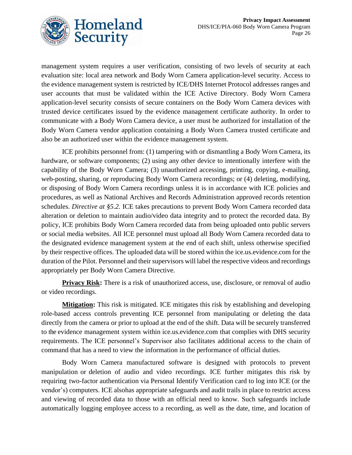

management system requires a user verification, consisting of two levels of security at each evaluation site: local area network and Body Worn Camera application-level security. Access to the evidence management system is restricted by ICE/DHS Internet Protocol addresses ranges and user accounts that must be validated within the ICE Active Directory. Body Worn Camera application-level security consists of secure containers on the Body Worn Camera devices with trusted device certificates issued by the evidence management certificate authority. In order to communicate with a Body Worn Camera device, a user must be authorized for installation of the Body Worn Camera vendor application containing a Body Worn Camera trusted certificate and also be an authorized user within the evidence management system.

ICE prohibits personnel from: (1) tampering with or dismantling a Body Worn Camera, its hardware, or software components; (2) using any other device to intentionally interfere with the capability of the Body Worn Camera; (3) unauthorized accessing, printing, copying, e-mailing, web-posting, sharing, or reproducing Body Worn Camera recordings; or (4) deleting, modifying, or disposing of Body Worn Camera recordings unless it is in accordance with ICE policies and procedures, as well as National Archives and Records Administration approved records retention schedules. *Directive at §5.2.* ICE takes precautions to prevent Body Worn Camera recorded data alteration or deletion to maintain audio/video data integrity and to protect the recorded data. By policy, ICE prohibits Body Worn Camera recorded data from being uploaded onto public servers or social media websites. All ICE personnel must upload all Body Worn Camera recorded data to the designated evidence management system at the end of each shift, unless otherwise specified by their respective offices. The uploaded data will be stored within the ice.us.evidence.com for the duration of the Pilot. Personnel and their supervisors will label the respective videos and recordings appropriately per Body Worn Camera Directive.

**Privacy Risk:** There is a risk of unauthorized access, use, disclosure, or removal of audio or video recordings.

**Mitigation:** This risk is mitigated. ICE mitigates this risk by establishing and developing role-based access controls preventing ICE personnel from manipulating or deleting the data directly from the camera or prior to upload at the end of the shift. Data will be securely transferred to the evidence management system within ice.us.evidence.com that complies with DHS security requirements. The ICE personnel's Supervisor also facilitates additional access to the chain of command that has a need to view the information in the performance of official duties.

Body Worn Camera manufactured software is designed with protocols to prevent manipulation or deletion of audio and video recordings. ICE further mitigates this risk by requiring two-factor authentication via Personal Identify Verification card to log into ICE (or the vendor's) computers. ICE alsohas appropriate safeguards and audit trails in place to restrict access and viewing of recorded data to those with an official need to know. Such safeguards include automatically logging employee access to a recording, as well as the date, time, and location of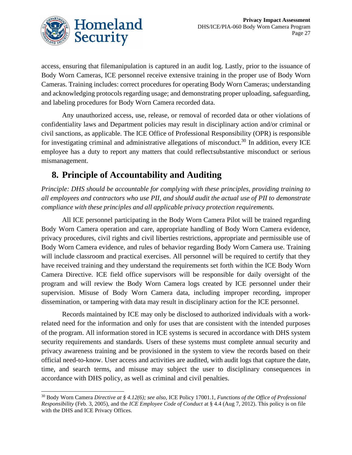

access, ensuring that filemanipulation is captured in an audit log. Lastly, prior to the issuance of Body Worn Cameras, ICE personnel receive extensive training in the proper use of Body Worn Cameras. Training includes: correct procedures for operating Body Worn Cameras; understanding and acknowledging protocols regarding usage; and demonstrating proper uploading, safeguarding, and labeling procedures for Body Worn Camera recorded data.

Any unauthorized access, use, release, or removal of recorded data or other violations of confidentiality laws and Department policies may result in disciplinary action and/or criminal or civil sanctions, as applicable. The ICE Office of Professional Responsibility (OPR) is responsible for investigating criminal and administrative allegations of misconduct.<sup>30</sup> In addition, every ICE employee has a duty to report any matters that could reflectsubstantive misconduct or serious mismanagement.

## **8. Principle of Accountability and Auditing**

*Principle: DHS should be accountable for complying with these principles, providing training to all employees and contractors who use PII, and should audit the actual use of PII to demonstrate compliance with these principles and all applicable privacy protection requirements.*

All ICE personnel participating in the Body Worn Camera Pilot will be trained regarding Body Worn Camera operation and care, appropriate handling of Body Worn Camera evidence, privacy procedures, civil rights and civil liberties restrictions, appropriate and permissible use of Body Worn Camera evidence, and rules of behavior regarding Body Worn Camera use. Training will include classroom and practical exercises. All personnel will be required to certify that they have received training and they understand the requirements set forth within the ICE Body Worn Camera Directive. ICE field office supervisors will be responsible for daily oversight of the program and will review the Body Worn Camera logs created by ICE personnel under their supervision. Misuse of Body Worn Camera data, including improper recording, improper dissemination, or tampering with data may result in disciplinary action for the ICE personnel.

Records maintained by ICE may only be disclosed to authorized individuals with a workrelated need for the information and only for uses that are consistent with the intended purposes of the program. All information stored in ICE systems is secured in accordance with DHS system security requirements and standards. Users of these systems must complete annual security and privacy awareness training and be provisioned in the system to view the records based on their official need-to-know. User access and activities are audited, with audit logs that capture the date, time, and search terms, and misuse may subject the user to disciplinary consequences in accordance with DHS policy, as well as criminal and civil penalties.

<sup>30</sup> Body Worn Camera *Directive at § 4.12(6); see also,* ICE Policy 17001.1, *Functions of the Office of Professional Responsibility* (Feb. 3, 2005), and the *ICE Employee Code of Conduct* at § 4.4 (Aug 7, 2012). This policy is on file with the DHS and ICE Privacy Offices.